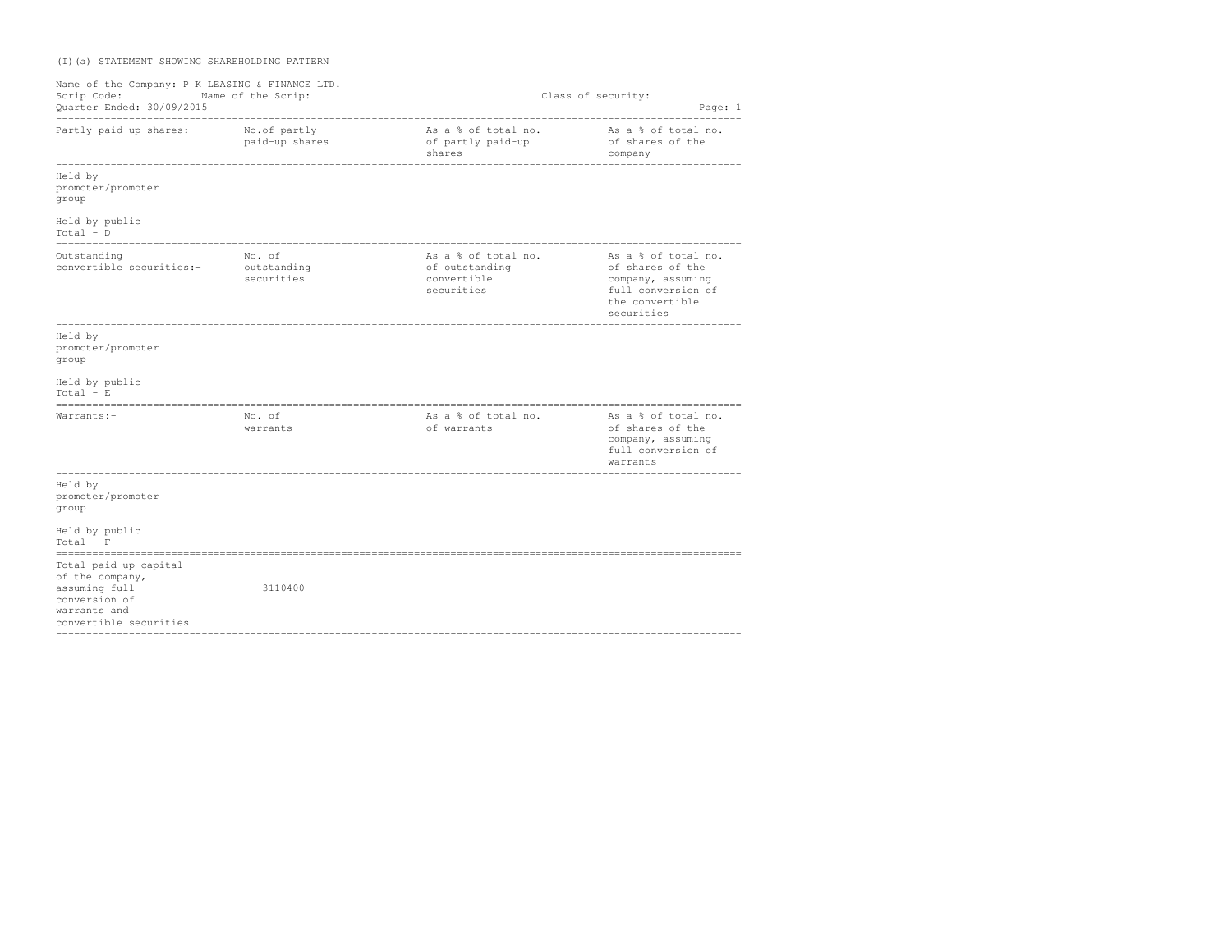## (I)(a) STATEMENT SHOWING SHAREHOLDING PATTERN

| Name of the Company: P K LEASING & FINANCE LTD.<br>Scrip Code: Name of the Scrip:<br>Quarter Ended: 30/09/2015<br>-------------------------- |                                     |                                                                    | Class of security:<br>Page: 1                                                                                       |
|----------------------------------------------------------------------------------------------------------------------------------------------|-------------------------------------|--------------------------------------------------------------------|---------------------------------------------------------------------------------------------------------------------|
| Partly paid-up shares:-                                                                                                                      | No.of partly<br>paid-up shares      | As a % of total no.<br>of partly paid-up<br>shares                 | As a % of total no.<br>of shares of the<br>company                                                                  |
| Held by<br>promoter/promoter<br>group                                                                                                        |                                     |                                                                    |                                                                                                                     |
| Held by public<br>$Total - D$                                                                                                                |                                     |                                                                    |                                                                                                                     |
| Outstanding<br>convertible securities:-                                                                                                      | No. of<br>outstanding<br>securities | As a % of total no.<br>of outstanding<br>convertible<br>securities | As a % of total no.<br>of shares of the<br>company, assuming<br>full conversion of<br>the convertible<br>securities |
| Held by<br>promoter/promoter<br>group                                                                                                        |                                     |                                                                    |                                                                                                                     |
| Held by public<br>$Total - E$                                                                                                                |                                     |                                                                    |                                                                                                                     |
| Warrants:-                                                                                                                                   | No. of<br>warrants                  | As a % of total no.<br>of warrants                                 | As a % of total no.<br>of shares of the<br>company, assuming<br>full conversion of<br>warrants                      |
| Held by<br>promoter/promoter<br>group                                                                                                        |                                     |                                                                    |                                                                                                                     |
| Held by public<br>$Total - F$                                                                                                                |                                     |                                                                    |                                                                                                                     |
| Total paid-up capital<br>of the company,<br>assuming full<br>conversion of<br>warrants and<br>convertible securities                         | 3110400                             |                                                                    |                                                                                                                     |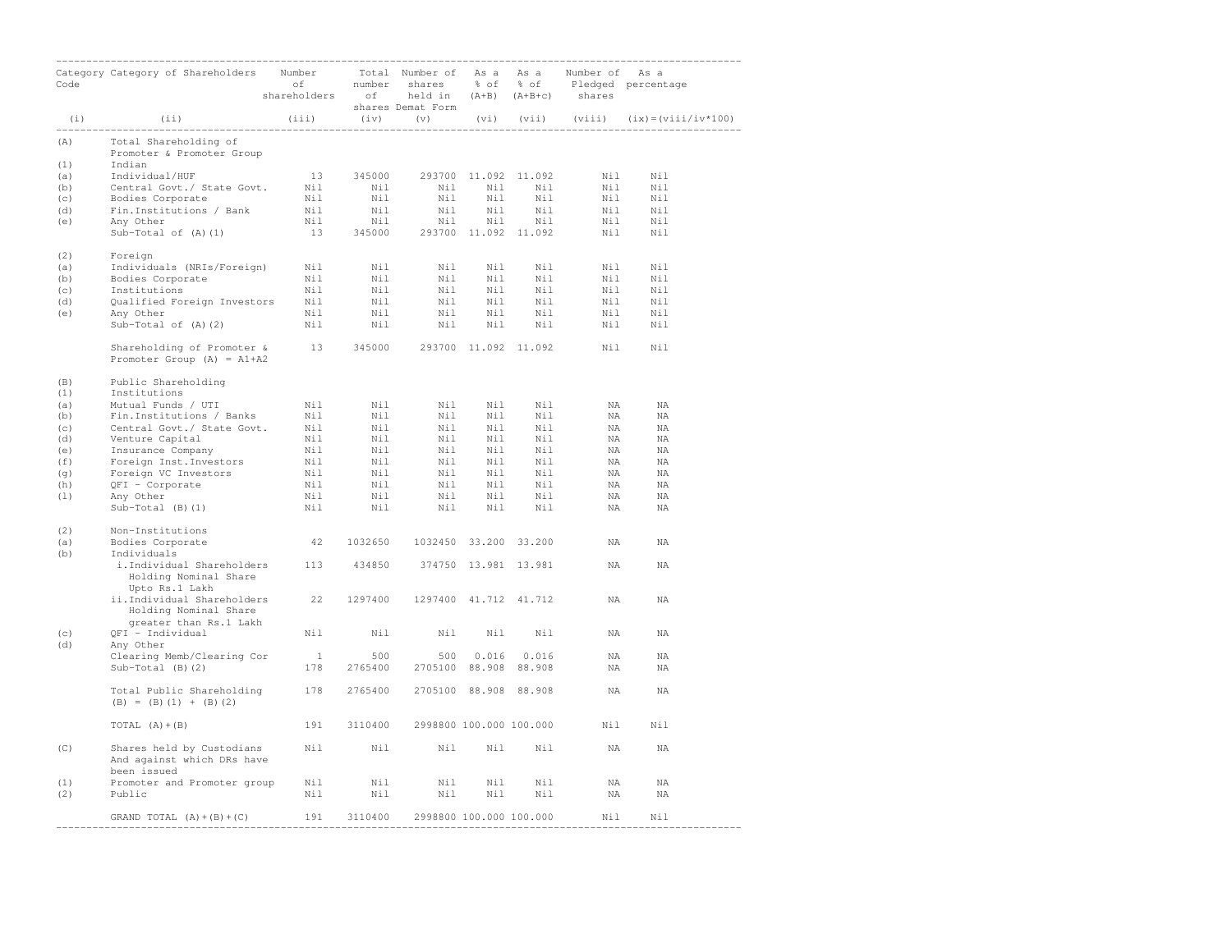|            |                                                                                                                                                                                              | shareholders of held in (A+B) (A+B+c) shares |         | shares Demat Form                     |     |                 |                |                                                     |
|------------|----------------------------------------------------------------------------------------------------------------------------------------------------------------------------------------------|----------------------------------------------|---------|---------------------------------------|-----|-----------------|----------------|-----------------------------------------------------|
| (i)        | (i)                                                                                                                                                                                          |                                              |         |                                       |     |                 |                | (iii) (iv) (v) (vi) (vii) (viii) (ix)=(viii/iv*100) |
| (A)<br>(1) | Total Shareholding of<br>Promoter & Promoter Group<br>Indian                                                                                                                                 |                                              |         |                                       |     |                 |                |                                                     |
| (a)        |                                                                                                                                                                                              |                                              |         |                                       |     |                 |                | Nil Nil                                             |
| (b)        |                                                                                                                                                                                              |                                              |         |                                       |     |                 | Nil            | Nil                                                 |
| (c)        |                                                                                                                                                                                              |                                              |         |                                       |     |                 | $\mathtt{Nil}$ | Nil                                                 |
| (d)        |                                                                                                                                                                                              |                                              |         |                                       |     |                 |                | $\verb+Nil+ \color{black} \verb+Nil+$               |
| (e)        |                                                                                                                                                                                              |                                              |         |                                       |     |                 | Nil            | Nil Nil<br>Nil                                      |
| (2)        | Foreign                                                                                                                                                                                      |                                              |         |                                       |     |                 |                |                                                     |
| (a)        |                                                                                                                                                                                              |                                              |         |                                       |     |                 |                |                                                     |
| (b)        |                                                                                                                                                                                              |                                              |         |                                       |     |                 |                |                                                     |
| (c)<br>(d) |                                                                                                                                                                                              |                                              |         |                                       |     |                 |                |                                                     |
| (e)        |                                                                                                                                                                                              |                                              |         |                                       |     |                 |                |                                                     |
|            |                                                                                                                                                                                              |                                              |         |                                       |     |                 |                | Nil<br>Nil Nil<br>Nil Nil<br>Nil Nil                |
|            | Shareholding of Promoter & 13 345000 293700 11.092 11.092 Nil Nil<br>Promoter Group $(A) = A1+A2$                                                                                            |                                              |         |                                       |     |                 |                |                                                     |
| (B)<br>(1) | Public Shareholding<br>Institutions                                                                                                                                                          |                                              |         |                                       |     |                 |                |                                                     |
| (a)        |                                                                                                                                                                                              |                                              |         |                                       |     |                 | NA             | ΝA                                                  |
| (b)        |                                                                                                                                                                                              |                                              |         |                                       |     |                 | NA             | NA                                                  |
| (c)        |                                                                                                                                                                                              |                                              |         |                                       |     |                 | NA             | ΝA                                                  |
| (d)        |                                                                                                                                                                                              |                                              |         |                                       |     |                 | NA             | ΝA                                                  |
| (e)        |                                                                                                                                                                                              |                                              |         |                                       |     |                 | NA             | ΝA                                                  |
| (f)        |                                                                                                                                                                                              |                                              |         |                                       |     |                 | NA<br>NA       | ΝA<br>ΝA                                            |
| (q)<br>(h) |                                                                                                                                                                                              |                                              |         |                                       |     |                 | NA             | NA                                                  |
| (1)        |                                                                                                                                                                                              |                                              |         |                                       |     |                 | NA             | ΝA                                                  |
|            |                                                                                                                                                                                              |                                              |         |                                       |     |                 | ΝA             | ΝA                                                  |
| (2)<br>(a) | Non-Institutions<br>Bodies Corporate                                                                                                                                                         |                                              |         | 42 1032650 1032450 33.200 33.200      |     |                 | NA             | NA                                                  |
| (b)        | Individuals<br>i. Individual Shareholders 113 434850 374750 13.981 13.981                                                                                                                    |                                              |         |                                       |     |                 | ΝA             | ΝA                                                  |
|            | Holding Nominal Share<br>Upto Rs.1 Lakh                                                                                                                                                      |                                              |         |                                       |     |                 |                |                                                     |
|            | ii.Individual Shareholders 22 1297400 1297400 41.712 41.712<br>Holding Nominal Share<br>greater than Rs.1 Lakh                                                                               |                                              |         |                                       |     |                 | ΝA             | NA                                                  |
| (C)<br>(d) | QFI - Individual<br>Any Other                                                                                                                                                                | Nil                                          | Nil     |                                       |     | Nil Nil Nil     | ΝA             | NA                                                  |
|            | Clearing Memb/Clearing Cor $\frac{1}{200}$ 500                                                                                                                                               |                                              |         |                                       |     | 500 0.016 0.016 | NA             | NA                                                  |
|            | $Sub-Total (B) (2)$                                                                                                                                                                          |                                              |         | 178  2765400  2705100  88.908  88.908 |     |                 | ΝA             | ΝA                                                  |
|            | Total Public Shareholding 178 2765400 2705100 88.908 88.908<br>$(B) = (B) (1) + (B) (2)$                                                                                                     |                                              |         |                                       |     |                 | NA             | NA                                                  |
|            | TOTAL $(A) + (B)$                                                                                                                                                                            | 191                                          |         | 3110400 2998800 100.000 100.000       |     |                 | Nil            | Nil                                                 |
| (C)        | Shares held by Custodians<br>And against which DRs have                                                                                                                                      |                                              | Nil Nil | Nil Nil Nil                           |     |                 | NA             | ΝA                                                  |
| (1)        | been issued                                                                                                                                                                                  |                                              |         |                                       | Nil | Nil             | NA             | ΝA                                                  |
| (2)        | $\begin{tabular}{llllll} \textbf{Promoter and Promoter group} & \textbf{Nil} & \textbf{Nil} & \textbf{Nil} \\ \textbf{Public} & \textbf{Nil} & \textbf{Nil} & \textbf{Nil} \\ \end{tabular}$ |                                              |         |                                       |     | Nil Nil Nil     | NA             | ΝA                                                  |
|            | GRAND TOTAL $(A) + (B) + (C)$ 191 3110400 2998800 100.000 100.000                                                                                                                            |                                              |         |                                       |     |                 | Nil Nil        |                                                     |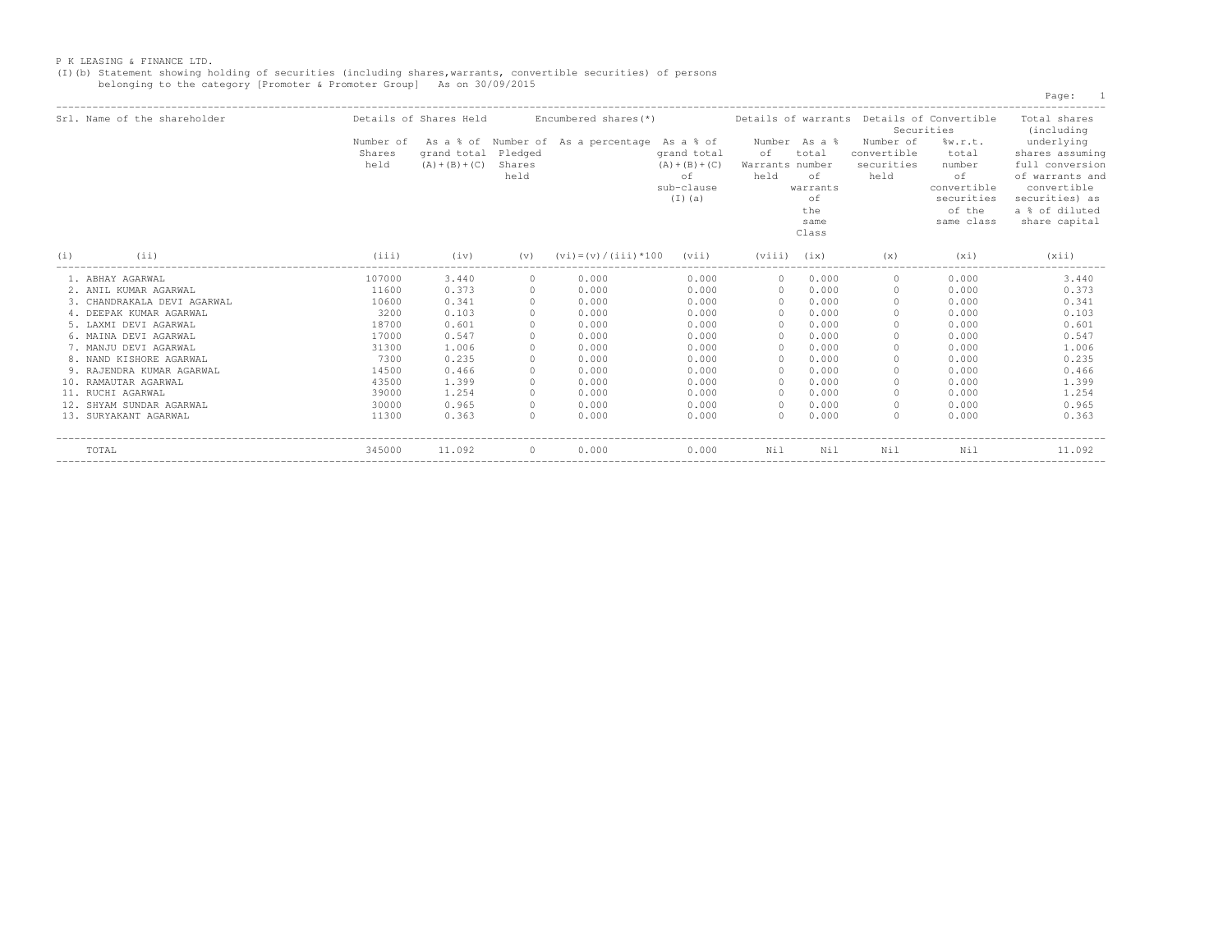(I)(b) Statement showing holding of securities (including shares,warrants, convertible securities) of persons belonging to the category [Promoter & Promoter Group] As on 30/09/2015

Page: 1

| Srl. Name of the shareholder |                             | Details of Shares Held           |                           | Encumbered shares (*)                         |                                                                |                        |                                                                                  | Details of warrants Details of Convertible     | Securities                                                                           | Total shares<br>(including                                                                                                              |
|------------------------------|-----------------------------|----------------------------------|---------------------------|-----------------------------------------------|----------------------------------------------------------------|------------------------|----------------------------------------------------------------------------------|------------------------------------------------|--------------------------------------------------------------------------------------|-----------------------------------------------------------------------------------------------------------------------------------------|
|                              | Number of<br>Shares<br>held | grand total<br>$(A) + (B) + (C)$ | Pledged<br>Shares<br>held | As a % of Number of As a percentage As a % of | grand total<br>$(A) + (B) + (C)$<br>оf<br>sub-clause<br>(I)(a) | оf<br>Warrants<br>held | Number As a %<br>total<br>number<br>оf<br>warrants<br>οf<br>the<br>same<br>Class | Number of<br>convertible<br>securities<br>held | w.r.t.<br>total<br>number<br>оf<br>convertible<br>securities<br>of the<br>same class | underlying<br>shares assuming<br>full conversion<br>of warrants and<br>convertible<br>securities) as<br>a % of diluted<br>share capital |
| (i)<br>(i)                   | (iii)                       | (iv)                             | (v)                       | $(vi) = (v) / (iii) * 100$                    | (vii)                                                          | (viii)                 | (ix)                                                                             | (x)                                            | $(x_1)$                                                                              | (xii)                                                                                                                                   |
| 1. ABHAY AGARWAL             | 107000                      | 3.440                            |                           | 0.000                                         | 0.000                                                          | $\Omega$               | 0.000                                                                            |                                                | 0.000                                                                                | 3.440                                                                                                                                   |
| 2. ANIL KUMAR AGARWAL        | 11600                       | 0.373                            |                           | 0.000                                         | 0.000                                                          | $\cap$                 | 0.000                                                                            |                                                | 0.000                                                                                | 0.373                                                                                                                                   |
| 3. CHANDRAKALA DEVI AGARWAL  | 10600                       | 0.341                            |                           | 0.000                                         | 0.000                                                          |                        | 0.000                                                                            |                                                | 0.000                                                                                | 0.341                                                                                                                                   |
| 4. DEEPAK KUMAR AGARWAL      | 3200                        | 0.103                            |                           | 0.000                                         | 0.000                                                          |                        | 0.000                                                                            |                                                | 0.000                                                                                | 0.103                                                                                                                                   |
| 5. LAXMI DEVI AGARWAL        | 18700                       | 0.601                            |                           | 0.000                                         | 0.000                                                          |                        | 0.000                                                                            |                                                | 0.000                                                                                | 0.601                                                                                                                                   |
| 6. MAINA DEVI AGARWAL        | 17000                       | 0.547                            |                           | 0.000                                         | 0.000                                                          |                        | 0.000                                                                            |                                                | 0.000                                                                                | 0.547                                                                                                                                   |
| 7. MANJU DEVI AGARWAL        | 31300                       | 1.006                            |                           | 0.000                                         | 0.000                                                          |                        | 0.000                                                                            |                                                | 0.000                                                                                | 1.006                                                                                                                                   |
| 8. NAND KISHORE AGARWAL      | 7300                        | 0.235                            |                           | 0.000                                         | 0.000                                                          |                        | 0.000                                                                            |                                                | 0.000                                                                                | 0.235                                                                                                                                   |
| 9. RAJENDRA KUMAR AGARWAL    | 14500                       | 0.466                            |                           | 0.000                                         | 0.000                                                          |                        | 0.000                                                                            |                                                | 0.000                                                                                | 0.466                                                                                                                                   |
| 10. RAMAUTAR AGARWAL         | 43500                       | 1.399                            |                           | 0.000                                         | 0.000                                                          |                        | 0.000                                                                            |                                                | 0.000                                                                                | 1.399                                                                                                                                   |
| 11. RUCHI AGARWAL            | 39000                       | 1.254                            |                           | 0.000                                         | 0.000                                                          |                        | 0.000                                                                            |                                                | 0.000                                                                                | 1.254                                                                                                                                   |
| 12. SHYAM SUNDAR AGARWAL     | 30000                       | 0.965                            |                           | 0.000                                         | 0.000                                                          |                        | 0.000                                                                            |                                                | 0.000                                                                                | 0.965                                                                                                                                   |
| 13. SURYAKANT AGARWAL        | 11300                       | 0.363                            |                           | 0.000                                         | 0.000                                                          |                        | 0.000                                                                            |                                                | 0.000                                                                                | 0.363                                                                                                                                   |
| TOTAL                        | 345000                      | 11.092                           | $\Omega$                  | 0.000                                         | 0.000                                                          | Nil                    | Nil                                                                              | Nil                                            | Nil                                                                                  | 11.092                                                                                                                                  |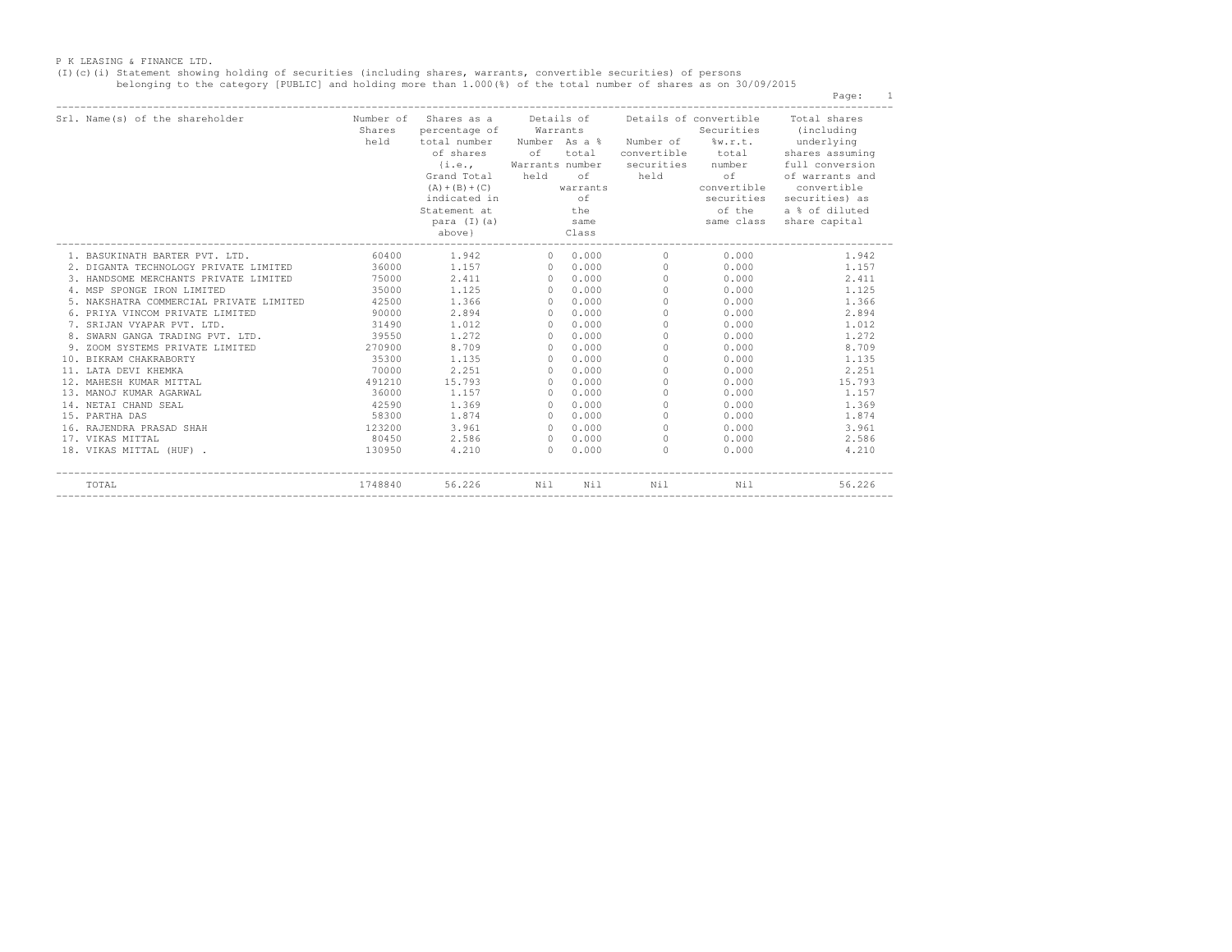(I)(c)(i) Statement showing holding of securities (including shares, warrants, convertible securities) of persons<br>belonging to the category [PUBLIC] and holding more than 1.000(%) of the total number of shares as on 30/09/

Page: 1

| Srl. Name(s) of the shareholder                                                                                                                                                                                                                            | Shares | Number of Shares as a Details of Details of convertible Total shares<br>percentage of Warrants<br>held total number Number As a % Number of %w.r.t. underlying<br>of shares of<br>Statement at the the of the<br>above} Class   | total | para (I)(a) same                                                                                                                                                                                                                                                                              | convertible total                                                                                                                                                                                                              | Securities (including<br>shares assuming<br>{i.e., Warrants number securities number full conversion<br>Grand Total held of held of of warrants and<br>securities securities) as<br>a % of diluted<br>same class share capital |
|------------------------------------------------------------------------------------------------------------------------------------------------------------------------------------------------------------------------------------------------------------|--------|---------------------------------------------------------------------------------------------------------------------------------------------------------------------------------------------------------------------------------|-------|-----------------------------------------------------------------------------------------------------------------------------------------------------------------------------------------------------------------------------------------------------------------------------------------------|--------------------------------------------------------------------------------------------------------------------------------------------------------------------------------------------------------------------------------|--------------------------------------------------------------------------------------------------------------------------------------------------------------------------------------------------------------------------------|
| 1. BASUKINATH BARTER PVT. LTD. 60400 1.942 0 0.000 0                                                                                                                                                                                                       |        |                                                                                                                                                                                                                                 |       |                                                                                                                                                                                                                                                                                               |                                                                                                                                                                                                                                | $0.000$ 1.942                                                                                                                                                                                                                  |
| 2. DIGANTA TECHNOLOGY PRIVATE LIMITED<br>3. HANDSOME MERCHANTS PRIVATE LIMITED<br>3. HANDSOME MERCHANTS PRIVATE LIMITED<br>4. MSP SPONGE IRON LIMITED<br>3.5000<br>1.125<br>3.5000<br>1.125<br>0.0.000<br>0.000<br>0.000<br>0.000<br>0.000<br>0.000<br>0.0 |        |                                                                                                                                                                                                                                 |       |                                                                                                                                                                                                                                                                                               |                                                                                                                                                                                                                                | $0.000$ 1.157                                                                                                                                                                                                                  |
|                                                                                                                                                                                                                                                            |        |                                                                                                                                                                                                                                 |       |                                                                                                                                                                                                                                                                                               |                                                                                                                                                                                                                                | $0.000$ 2.411                                                                                                                                                                                                                  |
|                                                                                                                                                                                                                                                            |        |                                                                                                                                                                                                                                 |       |                                                                                                                                                                                                                                                                                               |                                                                                                                                                                                                                                | $0.000$ 1.125                                                                                                                                                                                                                  |
| 5. NAKSHATRA COMMERCIAL PRIVATE LIMITED 42500 1.366 0 0.000 0                                                                                                                                                                                              |        |                                                                                                                                                                                                                                 |       |                                                                                                                                                                                                                                                                                               |                                                                                                                                                                                                                                | $0.000$ 1.366                                                                                                                                                                                                                  |
| 6. PRIYA VINCOM PRIVATE LIMITED                                                                                                                                                                                                                            |        | $\begin{array}{ccccccc}\n & 2.894 & & & 0.0000 & & 0 \\  & 0.000 & & 2.894 & & 0 & 0.000 & & 0 \\  & 31490 & & 1.012 & & 0 & 0.000 & & 0 \\  & 39550 & & 1.272 & & 0 & 0.000 & & 0\n\end{array}$                                |       |                                                                                                                                                                                                                                                                                               |                                                                                                                                                                                                                                | $0.000$ 2.894                                                                                                                                                                                                                  |
| 7. SRIJAN VYAPAR PVT. LTD.                                                                                                                                                                                                                                 |        |                                                                                                                                                                                                                                 |       |                                                                                                                                                                                                                                                                                               | 0.000                                                                                                                                                                                                                          | 1.012                                                                                                                                                                                                                          |
| 8. SWARN GANGA TRADING PVT. LTD.                                                                                                                                                                                                                           |        |                                                                                                                                                                                                                                 |       |                                                                                                                                                                                                                                                                                               | 0.000                                                                                                                                                                                                                          | 1.272                                                                                                                                                                                                                          |
| 9. ZOOM SYSTEMS PRIVATE LIMITED $270900$ 8.709 0                                                                                                                                                                                                           |        |                                                                                                                                                                                                                                 | 0.000 | $\overline{0}$                                                                                                                                                                                                                                                                                |                                                                                                                                                                                                                                | $0.000$ 8.709                                                                                                                                                                                                                  |
| 10. BIKRAM CHAKRABORTY                                                                                                                                                                                                                                     | 35300  | $1.135$ 0                                                                                                                                                                                                                       | 0.000 | $\overline{0}$                                                                                                                                                                                                                                                                                |                                                                                                                                                                                                                                | $0.000$ 1.135                                                                                                                                                                                                                  |
| 11. LATA DEVI KHEMKA                                                                                                                                                                                                                                       | 70000  | 2.251 0                                                                                                                                                                                                                         | 0.000 | $\sim$ 0 $\sim$ 0 $\sim$ 0 $\sim$ 0 $\sim$ 0 $\sim$ 0 $\sim$ 0 $\sim$ 0 $\sim$ 0 $\sim$ 0 $\sim$ 0 $\sim$ 0 $\sim$ 0 $\sim$ 0 $\sim$ 0 $\sim$ 0 $\sim$ 0 $\sim$ 0 $\sim$ 0 $\sim$ 0 $\sim$ 0 $\sim$ 0 $\sim$ 0 $\sim$ 0 $\sim$ 0 $\sim$ 0 $\sim$ 0 $\sim$ 0 $\sim$ 0 $\sim$ 0 $\sim$ 0 $\sim$ |                                                                                                                                                                                                                                | $0.000$ 2.251                                                                                                                                                                                                                  |
| 12. MAHESH KUMAR MITTAL                                                                                                                                                                                                                                    |        | 491210 15.793 0                                                                                                                                                                                                                 | 0.000 | $\sim$ 0                                                                                                                                                                                                                                                                                      | $0.000$ and $0.000$ and $0.000$ and $0.000$ and $0.000$ and $0.000$ and $0.000$ and $0.000$ and $0.000$ and $0.000$ and $0.000$ and $0.000$ and $0.000$ and $0.000$ and $0.000$ and $0.000$ and $0.000$ and $0.000$ and $0.00$ | 15.793                                                                                                                                                                                                                         |
| 13. MANOJ KUMAR AGARWAL                                                                                                                                                                                                                                    |        |                                                                                                                                                                                                                                 |       |                                                                                                                                                                                                                                                                                               | 0.000                                                                                                                                                                                                                          | 1.157                                                                                                                                                                                                                          |
| 14. NETAI CHAND SEAL                                                                                                                                                                                                                                       |        |                                                                                                                                                                                                                                 |       |                                                                                                                                                                                                                                                                                               | 0.000                                                                                                                                                                                                                          | 1.369                                                                                                                                                                                                                          |
| 15. PARTHA DAS                                                                                                                                                                                                                                             |        |                                                                                                                                                                                                                                 |       |                                                                                                                                                                                                                                                                                               |                                                                                                                                                                                                                                | $0.000$ 1.874                                                                                                                                                                                                                  |
| 16. RAJENDRA PRASAD SHAH                                                                                                                                                                                                                                   |        | $\begin{array}{ccccccccc} 1.157 & & & 0 & 0.000 & & & 0 \ 36000 & & 1.157 & & 0 & 0.000 & & 0 \ 42590 & & 1.369 & & 0 & 0.000 & & 0 \ 58300 & & 1.874 & & 0 & 0.000 & & 0 \ 123200 & & 3.961 & & & 0 & 0.000 & & 0 \end{array}$ |       |                                                                                                                                                                                                                                                                                               |                                                                                                                                                                                                                                | $0.000$ 3.961                                                                                                                                                                                                                  |
| 17. VIKAS MITTAL                                                                                                                                                                                                                                           |        |                                                                                                                                                                                                                                 |       |                                                                                                                                                                                                                                                                                               |                                                                                                                                                                                                                                | $80450$ 2.586 0 0.000 0 0.000 2.586                                                                                                                                                                                            |
| $130950$ $4.210$ 0 0.000 0<br>18. VIKAS MITTAL (HUF).                                                                                                                                                                                                      |        |                                                                                                                                                                                                                                 |       |                                                                                                                                                                                                                                                                                               |                                                                                                                                                                                                                                | $0.000$ 4.210                                                                                                                                                                                                                  |
| TOTAL                                                                                                                                                                                                                                                      |        | 1748840 56.226 Nil Nil Nil                                                                                                                                                                                                      |       |                                                                                                                                                                                                                                                                                               | Nil                                                                                                                                                                                                                            | 56.226                                                                                                                                                                                                                         |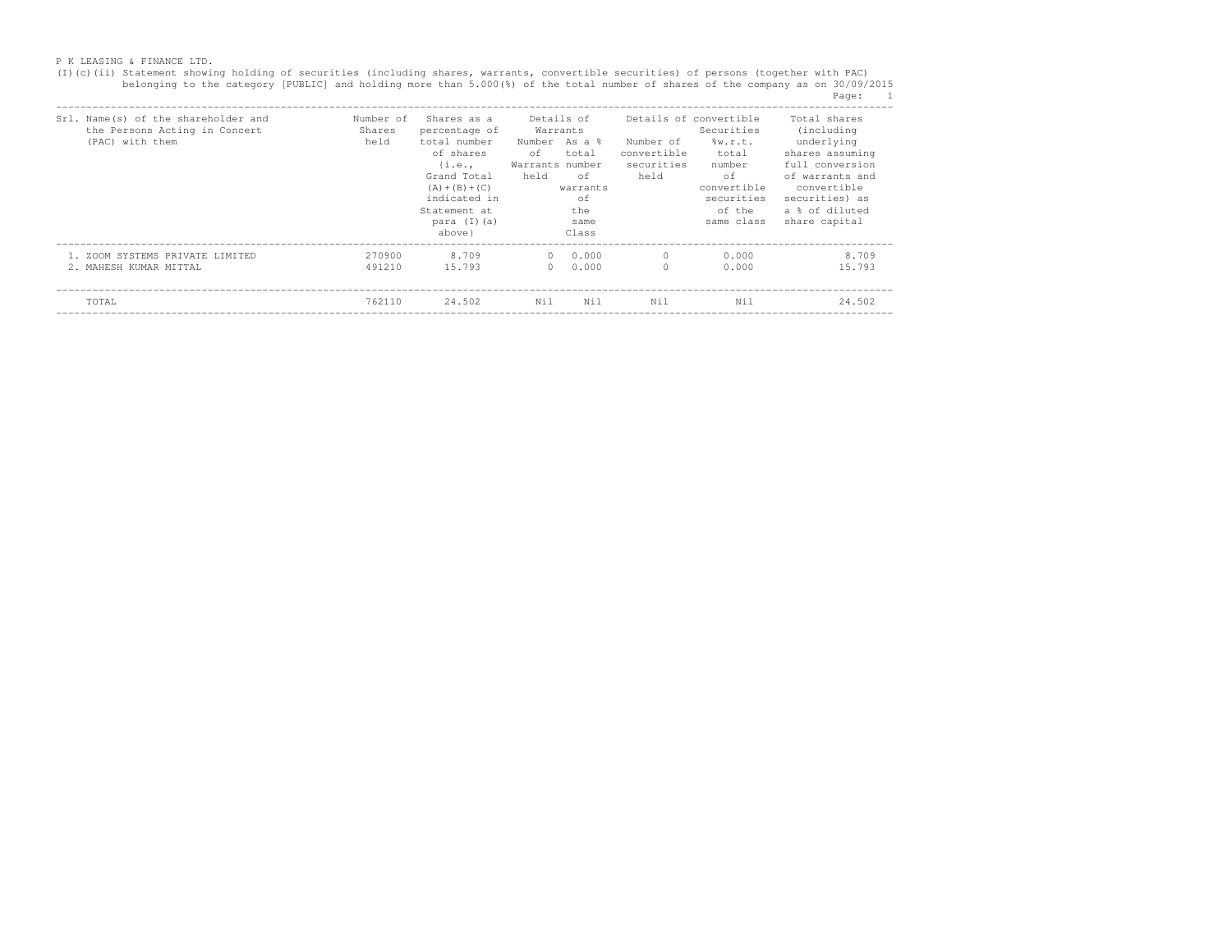(I)(c)(ii) Statement showing holding of securities (including shares, warrants, convertible securities) of persons (together with PAC)<br>belonging to the category [PUBLIC] and holding more than 5.000(%) of the total number o Page: 1<br>------------

| Name(s) of the shareholder and<br>Srl.<br>the Persons Acting in Concert<br>(PAC) with them | Number of<br>Shares<br>held | Shares as a<br>percentage of<br>total number<br>of shares<br>$\{i.e.,\}$<br>Grand Total<br>$(A) + (B) + (C)$<br>indicated in<br>Statement at<br>para $(I)(a)$<br>above } | Details of<br>Warrants<br>Number As a %<br>of.<br>total<br>Warrants number<br>held<br>of<br>warrants<br>of<br>the<br>same<br>Class | Number of<br>convertible<br>securities<br>held | Details of convertible<br>Securities<br>w.r.t.<br>total<br>number<br>оf<br>convertible<br>securities<br>of the<br>same class | Total shares<br>(including)<br>underlying<br>shares assuming<br>full conversion<br>of warrants and<br>convertible<br>securities) as<br>a % of diluted<br>share capital |
|--------------------------------------------------------------------------------------------|-----------------------------|--------------------------------------------------------------------------------------------------------------------------------------------------------------------------|------------------------------------------------------------------------------------------------------------------------------------|------------------------------------------------|------------------------------------------------------------------------------------------------------------------------------|------------------------------------------------------------------------------------------------------------------------------------------------------------------------|
| 1. ZOOM SYSTEMS PRIVATE LIMITED<br>2. MAHESH KUMAR MITTAL                                  | 270900<br>491210            | 8.709<br>15.793                                                                                                                                                          | 0.000<br>$\circ$<br>0.000<br>$\Omega$                                                                                              | $\Omega$<br>$\Omega$                           | 0.000<br>0.000                                                                                                               | 8.709<br>15.793                                                                                                                                                        |
| TOTAL                                                                                      | 762110                      | 24.502                                                                                                                                                                   | Nil<br>Nil                                                                                                                         | Nil                                            | Nil                                                                                                                          | 24.502                                                                                                                                                                 |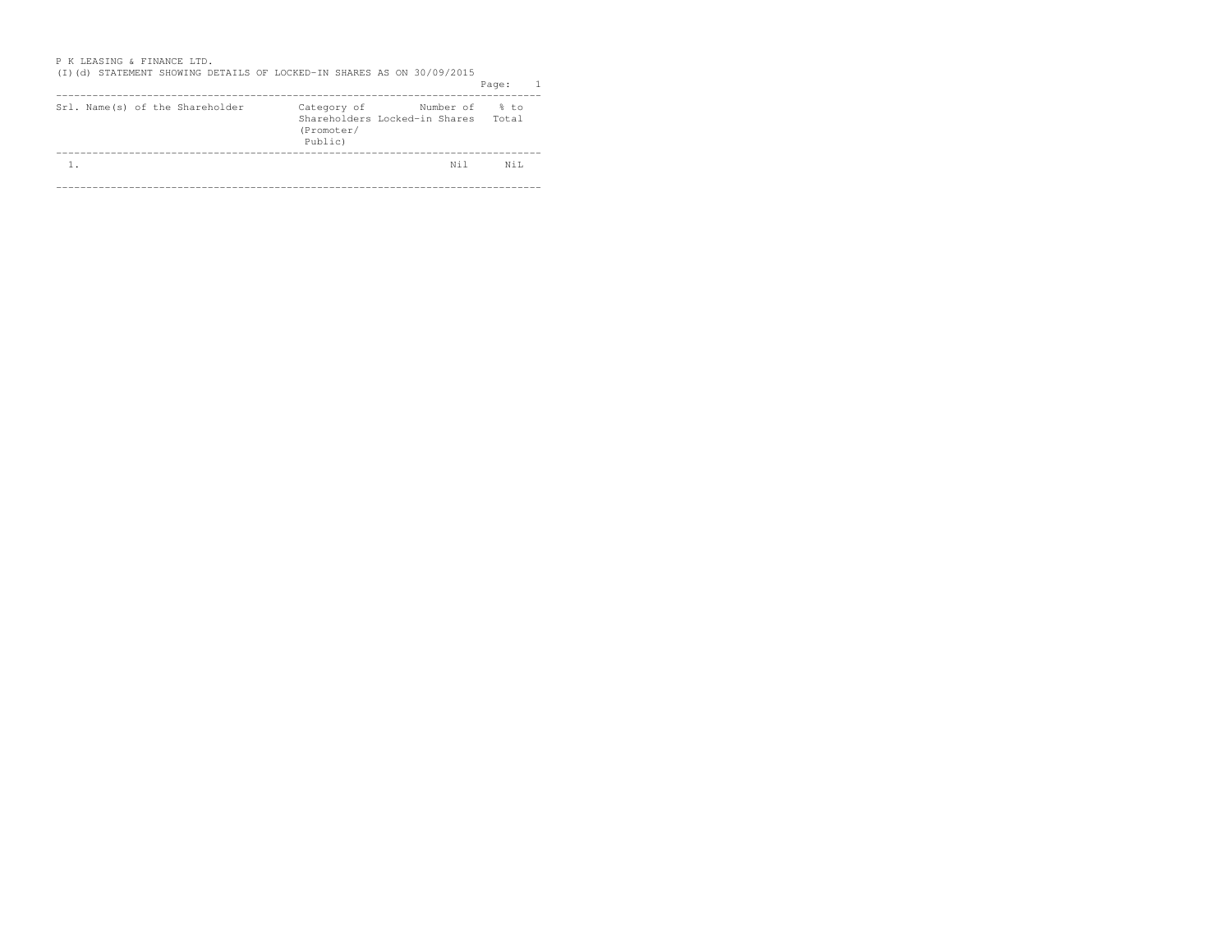| <u>I IN MMINUTINU WA FANIINUM MILU.</u><br>(I)(d) STATEMENT SHOWING DETAILS OF LOCKED-IN SHARES AS ON 30/09/2015 |                                      |                                                       | $\mathbf{1}$<br>Page: |
|------------------------------------------------------------------------------------------------------------------|--------------------------------------|-------------------------------------------------------|-----------------------|
| Srl. Name(s) of the Shareholder                                                                                  | Category of<br>(Promoter/<br>Public) | Number of % to<br>Shareholders Locked-in Shares Total |                       |
|                                                                                                                  |                                      |                                                       |                       |
| $\mathbf{1}$ .                                                                                                   |                                      | Nil                                                   | Ni L                  |
|                                                                                                                  |                                      |                                                       |                       |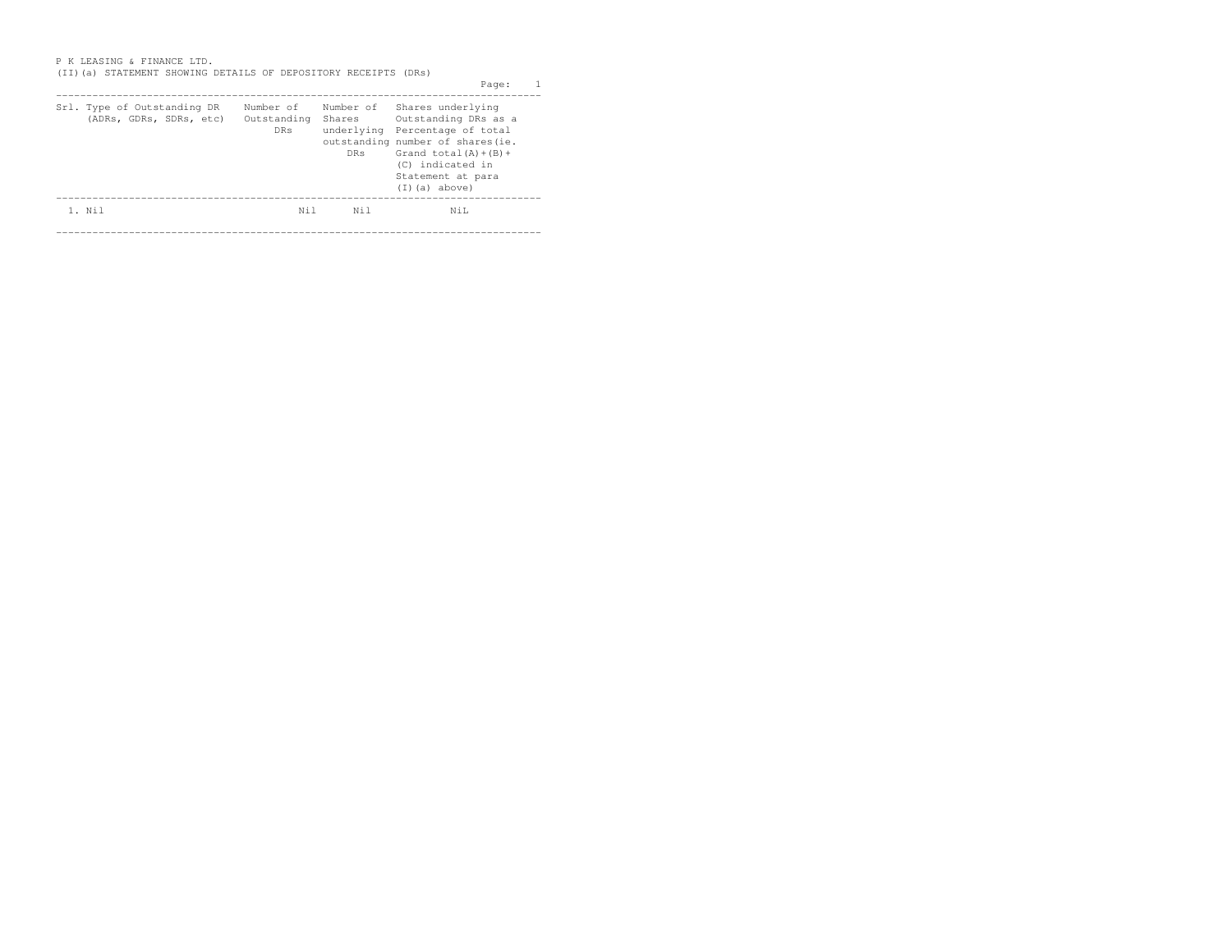| <b>DRs</b> | <b>DRs</b>               | Grand $total(A)+(B)+$<br>(C) indicated in<br>Statement at para<br>$(I)(a)$ above) |                                                                                                                                                                                                        |
|------------|--------------------------|-----------------------------------------------------------------------------------|--------------------------------------------------------------------------------------------------------------------------------------------------------------------------------------------------------|
| Nil        | Ni 1                     | NiL                                                                               |                                                                                                                                                                                                        |
|            | Number of<br>Outstanding | Shares                                                                            | (II) (a) STATEMENT SHOWING DETAILS OF DEPOSITORY RECEIPTS (DRs)<br>Page:<br>Number of Shares underlying<br>Outstanding DRs as a<br>underlying Percentage of total<br>outstanding number of shares (ie. |